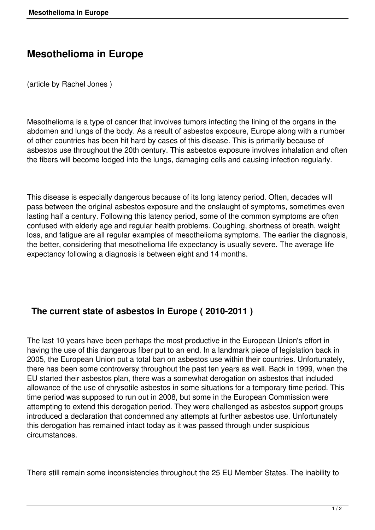## **Mesothelioma in Europe**

(article by Rachel Jones )

Mesothelioma is a type of cancer that involves tumors infecting the lining of the organs in the abdomen and lungs of the body. As a result of asbestos exposure, Europe along with a number of other countries has been hit hard by cases of this disease. This is primarily because of asbestos use throughout the 20th century. This asbestos exposure involves inhalation and often the fibers will become lodged into the lungs, damaging cells and causing infection regularly.

This disease is especially dangerous because of its long latency period. Often, decades will pass between the original asbestos exposure and the onslaught of symptoms, sometimes even lasting half a century. Following this latency period, some of the common symptoms are often confused with elderly age and regular health problems. Coughing, shortness of breath, weight loss, and fatigue are all regular examples of mesothelioma symptoms. The earlier the diagnosis, the better, considering that mesothelioma life expectancy is usually severe. The average life expectancy following a diagnosis is between eight and 14 months.

## **The current state of asbestos in Europe ( 2010-2011 )**

The last 10 years have been perhaps the most productive in the European Union's effort in having the use of this dangerous fiber put to an end. In a landmark piece of legislation back in 2005, the European Union put a total ban on asbestos use within their countries. Unfortunately, there has been some controversy throughout the past ten years as well. Back in 1999, when the EU started their asbestos plan, there was a somewhat derogation on asbestos that included allowance of the use of chrysotile asbestos in some situations for a temporary time period. This time period was supposed to run out in 2008, but some in the European Commission were attempting to extend this derogation period. They were challenged as asbestos support groups introduced a declaration that condemned any attempts at further asbestos use. Unfortunately this derogation has remained intact today as it was passed through under suspicious circumstances.

There still remain some inconsistencies throughout the 25 EU Member States. The inability to